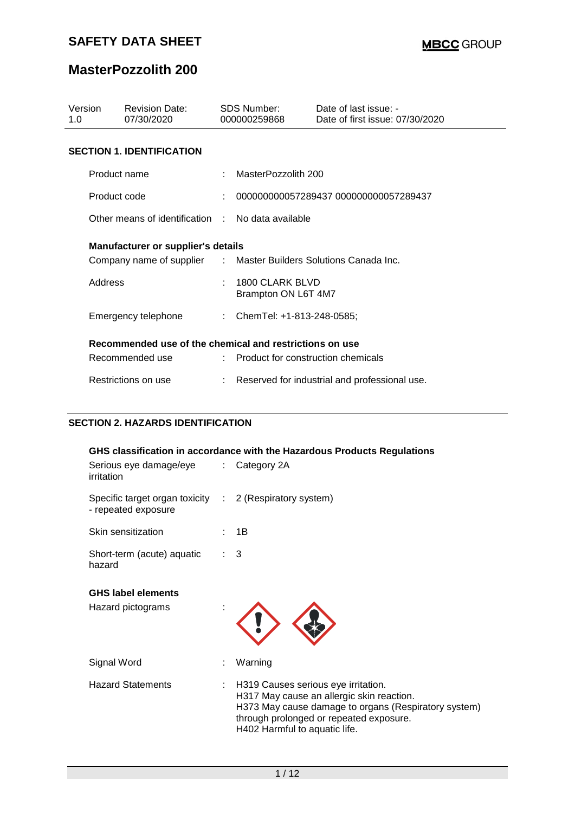## **MasterPozzolith 200**

| Version<br>1.0                                          | <b>Revision Date:</b><br>07/30/2020                              |   | SDS Number:<br>000000259868                     | Date of last issue: -<br>Date of first issue: 07/30/2020 |  |  |  |
|---------------------------------------------------------|------------------------------------------------------------------|---|-------------------------------------------------|----------------------------------------------------------|--|--|--|
| <b>SECTION 1. IDENTIFICATION</b>                        |                                                                  |   |                                                 |                                                          |  |  |  |
|                                                         | Product name                                                     |   | MasterPozzolith 200                             |                                                          |  |  |  |
| Product code                                            |                                                                  |   |                                                 | 000000000057289437 000000000057289437                    |  |  |  |
| Other means of identification : No data available       |                                                                  |   |                                                 |                                                          |  |  |  |
| <b>Manufacturer or supplier's details</b>               |                                                                  |   |                                                 |                                                          |  |  |  |
|                                                         | Company name of supplier : Master Builders Solutions Canada Inc. |   |                                                 |                                                          |  |  |  |
| Address                                                 |                                                                  | ÷ | 1800 CLARK BLVD<br>Brampton ON L6T 4M7          |                                                          |  |  |  |
|                                                         | Emergency telephone                                              |   | : ChemTel: +1-813-248-0585;                     |                                                          |  |  |  |
| Recommended use of the chemical and restrictions on use |                                                                  |   |                                                 |                                                          |  |  |  |
|                                                         | Recommended use                                                  |   | $\therefore$ Product for construction chemicals |                                                          |  |  |  |
|                                                         | Restrictions on use                                              |   |                                                 | Reserved for industrial and professional use.            |  |  |  |

### **SECTION 2. HAZARDS IDENTIFICATION**

| GHS classification in accordance with the Hazardous Products Regulations       |  |                                                                                                                                                                                                                      |  |  |  |  |
|--------------------------------------------------------------------------------|--|----------------------------------------------------------------------------------------------------------------------------------------------------------------------------------------------------------------------|--|--|--|--|
| Serious eye damage/eye : Category 2A<br>irritation                             |  |                                                                                                                                                                                                                      |  |  |  |  |
| Specific target organ toxicity : 2 (Respiratory system)<br>- repeated exposure |  |                                                                                                                                                                                                                      |  |  |  |  |
| Skin sensitization                                                             |  | 1B                                                                                                                                                                                                                   |  |  |  |  |
| Short-term (acute) aquatic<br>hazard                                           |  | 3                                                                                                                                                                                                                    |  |  |  |  |
| <b>GHS label elements</b>                                                      |  |                                                                                                                                                                                                                      |  |  |  |  |
| Hazard pictograms                                                              |  |                                                                                                                                                                                                                      |  |  |  |  |
| Signal Word                                                                    |  | Warning                                                                                                                                                                                                              |  |  |  |  |
| <b>Hazard Statements</b>                                                       |  | H319 Causes serious eye irritation.<br>H317 May cause an allergic skin reaction.<br>H373 May cause damage to organs (Respiratory system)<br>through prolonged or repeated exposure.<br>H402 Harmful to aquatic life. |  |  |  |  |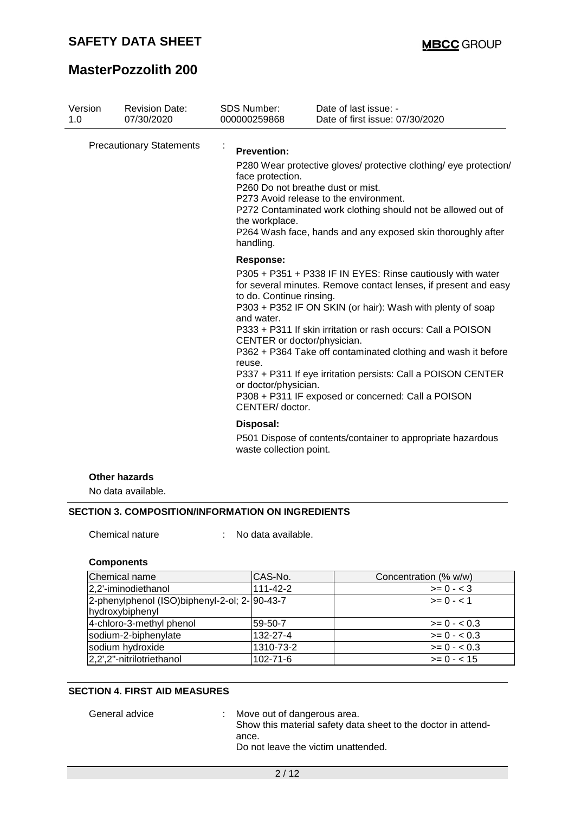## **MasterPozzolith 200**

| Version<br>1.0                  | <b>Revision Date:</b><br>07/30/2020 | <b>SDS Number:</b><br>000000259868                                                                                                             | Date of last issue: -<br>Date of first issue: 07/30/2020                                                                                                                                                                                                                                                                                                                                                                                           |
|---------------------------------|-------------------------------------|------------------------------------------------------------------------------------------------------------------------------------------------|----------------------------------------------------------------------------------------------------------------------------------------------------------------------------------------------------------------------------------------------------------------------------------------------------------------------------------------------------------------------------------------------------------------------------------------------------|
| <b>Precautionary Statements</b> |                                     | k,<br><b>Prevention:</b><br>face protection.<br>P260 Do not breathe dust or mist.<br>the workplace.<br>handling.                               | P280 Wear protective gloves/ protective clothing/ eye protection/<br>P273 Avoid release to the environment.<br>P272 Contaminated work clothing should not be allowed out of<br>P264 Wash face, hands and any exposed skin thoroughly after                                                                                                                                                                                                         |
|                                 |                                     | <b>Response:</b><br>to do. Continue rinsing.<br>and water.<br>CENTER or doctor/physician.<br>reuse.<br>or doctor/physician.<br>CENTER/ doctor. | P305 + P351 + P338 IF IN EYES: Rinse cautiously with water<br>for several minutes. Remove contact lenses, if present and easy<br>P303 + P352 IF ON SKIN (or hair): Wash with plenty of soap<br>P333 + P311 If skin irritation or rash occurs: Call a POISON<br>P362 + P364 Take off contaminated clothing and wash it before<br>P337 + P311 If eye irritation persists: Call a POISON CENTER<br>P308 + P311 IF exposed or concerned: Call a POISON |
|                                 |                                     | Disposal:<br>waste collection point.                                                                                                           | P501 Dispose of contents/container to appropriate hazardous                                                                                                                                                                                                                                                                                                                                                                                        |
|                                 | <b>Other hazards</b>                |                                                                                                                                                |                                                                                                                                                                                                                                                                                                                                                                                                                                                    |

No data available.

#### **SECTION 3. COMPOSITION/INFORMATION ON INGREDIENTS**

Chemical nature : No data available.

#### **Components**

| Chemical name                                 | CAS-No.        | Concentration (% w/w) |
|-----------------------------------------------|----------------|-----------------------|
| 2,2'-iminodiethanol                           | $111 - 42 - 2$ | $>= 0 - 3$            |
| 2-phenylphenol (ISO)biphenyl-2-ol; 2- 90-43-7 |                | $>= 0 - 1$            |
| hydroxybiphenyl                               |                |                       |
| 4-chloro-3-methyl phenol                      | 59-50-7        | $>= 0 - 0.3$          |
| sodium-2-biphenylate                          | 132-27-4       | $>= 0 - 0.3$          |
| sodium hydroxide                              | 1310-73-2      | $>= 0 - 0.3$          |
| 2,2',2"-nitrilotriethanol                     | 102-71-6       | $>= 0 - < 15$         |

#### **SECTION 4. FIRST AID MEASURES**

General advice : Move out of dangerous area.

Show this material safety data sheet to the doctor in attendance.

Do not leave the victim unattended.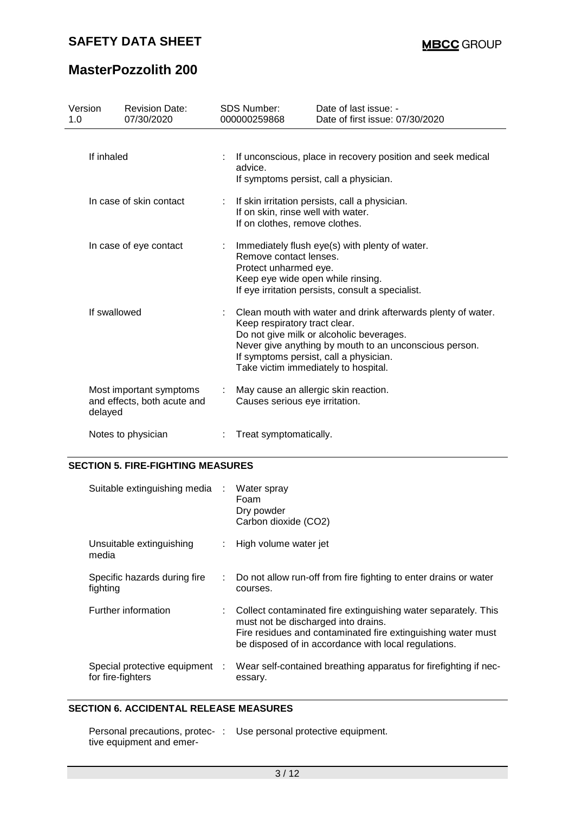# **MasterPozzolith 200**

| Version<br>1.0         |                         | <b>Revision Date:</b><br>07/30/2020                    |                                                                                                                                                                                             | <b>SDS Number:</b><br>000000259868                                                                                                                                                                                                                                                    | Date of last issue: -<br>Date of first issue: 07/30/2020                                              |  |  |  |
|------------------------|-------------------------|--------------------------------------------------------|---------------------------------------------------------------------------------------------------------------------------------------------------------------------------------------------|---------------------------------------------------------------------------------------------------------------------------------------------------------------------------------------------------------------------------------------------------------------------------------------|-------------------------------------------------------------------------------------------------------|--|--|--|
|                        | If inhaled              |                                                        |                                                                                                                                                                                             | advice.                                                                                                                                                                                                                                                                               | If unconscious, place in recovery position and seek medical<br>If symptoms persist, call a physician. |  |  |  |
|                        | In case of skin contact |                                                        |                                                                                                                                                                                             | If skin irritation persists, call a physician.<br>If on skin, rinse well with water.<br>If on clothes, remove clothes.                                                                                                                                                                |                                                                                                       |  |  |  |
| In case of eye contact |                         | ÷                                                      | Immediately flush eye(s) with plenty of water.<br>Remove contact lenses.<br>Protect unharmed eye.<br>Keep eye wide open while rinsing.<br>If eye irritation persists, consult a specialist. |                                                                                                                                                                                                                                                                                       |                                                                                                       |  |  |  |
|                        | If swallowed            |                                                        |                                                                                                                                                                                             | Clean mouth with water and drink afterwards plenty of water.<br>Keep respiratory tract clear.<br>Do not give milk or alcoholic beverages.<br>Never give anything by mouth to an unconscious person.<br>If symptoms persist, call a physician.<br>Take victim immediately to hospital. |                                                                                                       |  |  |  |
|                        | delayed                 | Most important symptoms<br>and effects, both acute and |                                                                                                                                                                                             | Causes serious eye irritation.                                                                                                                                                                                                                                                        | May cause an allergic skin reaction.                                                                  |  |  |  |
|                        |                         | Notes to physician                                     |                                                                                                                                                                                             | Treat symptomatically.                                                                                                                                                                                                                                                                |                                                                                                       |  |  |  |

#### **SECTION 5. FIRE-FIGHTING MEASURES**

| Suitable extinguishing media :                      |    | Water spray<br>Foam<br>Dry powder<br>Carbon dioxide (CO2)                                                                                                                                                                     |
|-----------------------------------------------------|----|-------------------------------------------------------------------------------------------------------------------------------------------------------------------------------------------------------------------------------|
| Unsuitable extinguishing<br>media                   |    | High volume water jet                                                                                                                                                                                                         |
| Specific hazards during fire<br>fighting            | ÷. | Do not allow run-off from fire fighting to enter drains or water<br>courses.                                                                                                                                                  |
| Further information                                 |    | Collect contaminated fire extinguishing water separately. This<br>must not be discharged into drains.<br>Fire residues and contaminated fire extinguishing water must<br>be disposed of in accordance with local regulations. |
| Special protective equipment :<br>for fire-fighters |    | Wear self-contained breathing apparatus for firefighting if nec-<br>essary.                                                                                                                                                   |

#### **SECTION 6. ACCIDENTAL RELEASE MEASURES**

|                          | Personal precautions, protec- : Use personal protective equipment. |
|--------------------------|--------------------------------------------------------------------|
| tive equipment and emer- |                                                                    |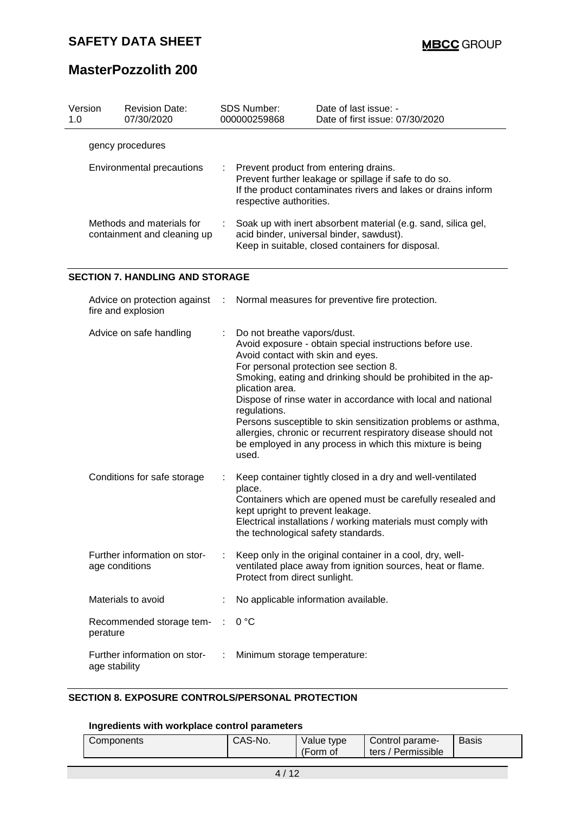# **MasterPozzolith 200**

| Version<br>1.0            | <b>Revision Date:</b><br>07/30/2020                      |  | SDS Number:<br>000000259868                                                                                                                                                                | Date of last issue: -<br>Date of first issue: 07/30/2020 |  |  |
|---------------------------|----------------------------------------------------------|--|--------------------------------------------------------------------------------------------------------------------------------------------------------------------------------------------|----------------------------------------------------------|--|--|
|                           | gency procedures                                         |  |                                                                                                                                                                                            |                                                          |  |  |
| Environmental precautions |                                                          |  | Prevent product from entering drains.<br>Prevent further leakage or spillage if safe to do so.<br>If the product contaminates rivers and lakes or drains inform<br>respective authorities. |                                                          |  |  |
|                           | Methods and materials for<br>containment and cleaning up |  | Soak up with inert absorbent material (e.g. sand, silica gel,<br>acid binder, universal binder, sawdust).<br>Keep in suitable, closed containers for disposal.                             |                                                          |  |  |
|                           | <b>SECTION 7. HANDLING AND STORAGE</b>                   |  |                                                                                                                                                                                            |                                                          |  |  |
|                           | Advice on protection against :<br>fire and explosion     |  |                                                                                                                                                                                            | Normal measures for preventive fire protection.          |  |  |
|                           | Advice on safe handling                                  |  | : Do not breathe vapors/dust.                                                                                                                                                              |                                                          |  |  |

| AUVICE UIT SAIE HAHUIHIY                       |   | DO HUI DIGALIG VAPUIS/UUSI.<br>Avoid exposure - obtain special instructions before use.<br>Avoid contact with skin and eyes.<br>For personal protection see section 8.<br>Smoking, eating and drinking should be prohibited in the ap-<br>plication area.<br>Dispose of rinse water in accordance with local and national<br>regulations.<br>Persons susceptible to skin sensitization problems or asthma,<br>allergies, chronic or recurrent respiratory disease should not<br>be employed in any process in which this mixture is being<br>used. |
|------------------------------------------------|---|----------------------------------------------------------------------------------------------------------------------------------------------------------------------------------------------------------------------------------------------------------------------------------------------------------------------------------------------------------------------------------------------------------------------------------------------------------------------------------------------------------------------------------------------------|
| Conditions for safe storage                    |   | Keep container tightly closed in a dry and well-ventilated<br>place.<br>Containers which are opened must be carefully resealed and<br>kept upright to prevent leakage.<br>Electrical installations / working materials must comply with<br>the technological safety standards.                                                                                                                                                                                                                                                                     |
| Further information on stor-<br>age conditions |   | Keep only in the original container in a cool, dry, well-<br>ventilated place away from ignition sources, heat or flame.<br>Protect from direct sunlight.                                                                                                                                                                                                                                                                                                                                                                                          |
| Materials to avoid                             |   | No applicable information available.                                                                                                                                                                                                                                                                                                                                                                                                                                                                                                               |
| Recommended storage tem-<br>perature           |   | 0 °C                                                                                                                                                                                                                                                                                                                                                                                                                                                                                                                                               |
| Further information on stor-<br>age stability  | ÷ | Minimum storage temperature:                                                                                                                                                                                                                                                                                                                                                                                                                                                                                                                       |

### **SECTION 8. EXPOSURE CONTROLS/PERSONAL PROTECTION**

### **Ingredients with workplace control parameters**

| Components | CAS-No. | Value type | Control parame-    | Basis |
|------------|---------|------------|--------------------|-------|
|            |         | (Form of   | ters / Permissible |       |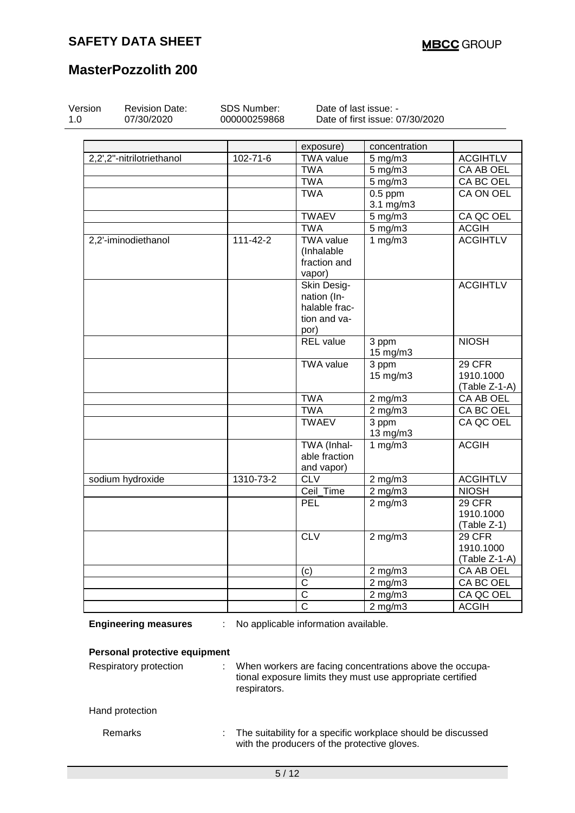# **MasterPozzolith 200**

| Version | <b>Revision Date:</b><br>07/30/2020 | SDS Number:<br>000000259868 | Date of last issue: -                | Date of first issue: 07/30/2020                            |                 |
|---------|-------------------------------------|-----------------------------|--------------------------------------|------------------------------------------------------------|-----------------|
|         |                                     |                             |                                      |                                                            |                 |
|         |                                     |                             | exposure)                            | concentration                                              |                 |
|         | 2,2',2"-nitrilotriethanol           | $102 - 71 - 6$              | <b>TWA</b> value                     | $5$ mg/m $3$                                               | <b>ACGIHTLV</b> |
|         |                                     |                             | <b>TWA</b>                           | $5$ mg/m $3$                                               | CA AB OEL       |
|         |                                     |                             | <b>TWA</b>                           | $5$ mg/m $3$                                               | CA BC OEL       |
|         |                                     |                             | <b>TWA</b>                           | $0.5$ ppm                                                  | CA ON OEL       |
|         |                                     |                             |                                      | 3.1 mg/m3                                                  |                 |
|         |                                     |                             | <b>TWAEV</b>                         | 5 mg/m3                                                    | CA QC OEL       |
|         |                                     |                             | <b>TWA</b>                           | 5 mg/m3                                                    | <b>ACGIH</b>    |
|         | 2,2'-iminodiethanol                 | $111 - 42 - 2$              | <b>TWA value</b>                     | 1 $mg/m3$                                                  | <b>ACGIHTLV</b> |
|         |                                     |                             | (Inhalable                           |                                                            |                 |
|         |                                     |                             | fraction and                         |                                                            |                 |
|         |                                     |                             | vapor)                               |                                                            |                 |
|         |                                     |                             | Skin Desig-                          |                                                            | <b>ACGIHTLV</b> |
|         |                                     |                             | nation (In-                          |                                                            |                 |
|         |                                     |                             | halable frac-                        |                                                            |                 |
|         |                                     |                             | tion and va-                         |                                                            |                 |
|         |                                     |                             | por)                                 |                                                            |                 |
|         |                                     |                             | <b>REL</b> value                     | 3 ppm                                                      | <b>NIOSH</b>    |
|         |                                     |                             |                                      | 15 mg/m3                                                   |                 |
|         |                                     |                             | <b>TWA value</b>                     | 3 ppm                                                      | 29 CFR          |
|         |                                     |                             |                                      | 15 mg/m3                                                   | 1910.1000       |
|         |                                     |                             |                                      |                                                            | (Table Z-1-A)   |
|         |                                     |                             | <b>TWA</b>                           | $2$ mg/m $3$                                               | CA AB OEL       |
|         |                                     |                             | <b>TWA</b>                           | $2$ mg/m $3$                                               | CA BC OEL       |
|         |                                     |                             | <b>TWAEV</b>                         | 3 ppm<br>13 mg/m3                                          | CA QC OEL       |
|         |                                     |                             | TWA (Inhal-                          | 1 $mg/m3$                                                  | <b>ACGIH</b>    |
|         |                                     |                             | able fraction                        |                                                            |                 |
|         |                                     |                             | and vapor)                           |                                                            |                 |
|         | sodium hydroxide                    | 1310-73-2                   | <b>CLV</b>                           | $2$ mg/m $3$                                               | <b>ACGIHTLV</b> |
|         |                                     |                             | Ceil Time                            | $2$ mg/m $3$                                               | <b>NIOSH</b>    |
|         |                                     |                             | PEL                                  | $2$ mg/m $3$                                               | 29 CFR          |
|         |                                     |                             |                                      |                                                            | 1910.1000       |
|         |                                     |                             |                                      |                                                            | (Table Z-1)     |
|         |                                     |                             | CLV                                  | $2 \overline{\mathrm{mg}}$ m3                              | 29 CFR          |
|         |                                     |                             |                                      |                                                            | 1910.1000       |
|         |                                     |                             |                                      |                                                            | $(Table Z-1-A)$ |
|         |                                     |                             | $\left( $                            | $2$ mg/m $3$                                               | CA AB OEL       |
|         |                                     |                             | $\overline{\text{c}}$                | $2$ mg/m $3$                                               | CA BC OEL       |
|         |                                     |                             | $\overline{\text{c}}$                | $2$ mg/m $3$                                               | CA QC OEL       |
|         |                                     |                             | $\overline{\text{c}}$                | $2$ mg/m $3$                                               | <b>ACGIH</b>    |
|         | <b>Engineering measures</b>         |                             | No applicable information available. |                                                            |                 |
|         | Personal protective equipment       |                             |                                      |                                                            |                 |
|         | Respiratory protection              | ÷                           |                                      | When workers are facing concentrations above the occupa-   |                 |
|         |                                     |                             |                                      | tional exposure limits they must use appropriate certified |                 |
|         |                                     | respirators.                |                                      |                                                            |                 |
|         |                                     |                             |                                      |                                                            |                 |
|         | Hand protection                     |                             |                                      |                                                            |                 |
|         |                                     |                             |                                      |                                                            |                 |

Remarks **the suitability for a specific workplace should be discussed** with the producers of the protective gloves.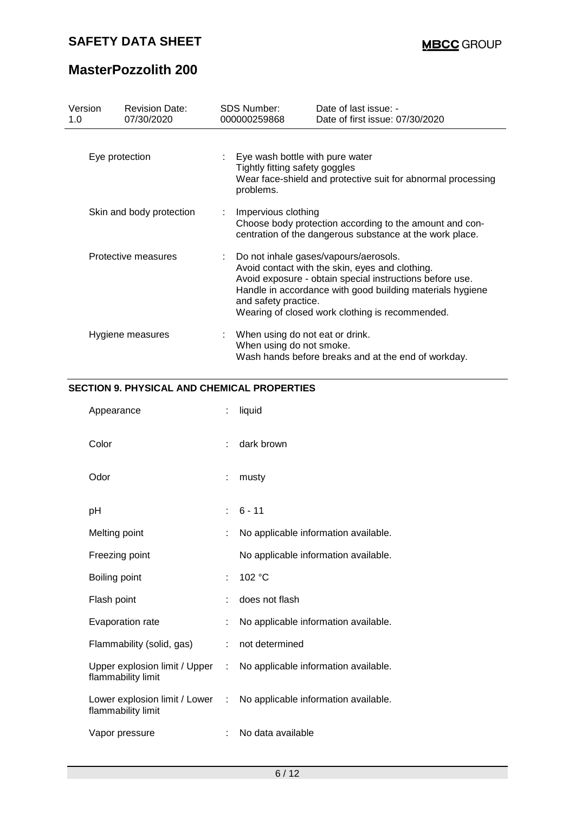# **MasterPozzolith 200**

| Version<br>1.0           | <b>Revision Date:</b><br>07/30/2020 | SDS Number:<br>000000259868                                                                                                                                                                                                                                                                    | Date of last issue: -<br>Date of first issue: 07/30/2020                                                            |  |  |
|--------------------------|-------------------------------------|------------------------------------------------------------------------------------------------------------------------------------------------------------------------------------------------------------------------------------------------------------------------------------------------|---------------------------------------------------------------------------------------------------------------------|--|--|
| Eye protection           |                                     | : Eye wash bottle with pure water<br>Tightly fitting safety goggles<br>Wear face-shield and protective suit for abnormal processing<br>problems.                                                                                                                                               |                                                                                                                     |  |  |
| Skin and body protection |                                     | Impervious clothing                                                                                                                                                                                                                                                                            | Choose body protection according to the amount and con-<br>centration of the dangerous substance at the work place. |  |  |
| Protective measures      |                                     | : Do not inhale gases/vapours/aerosols.<br>Avoid contact with the skin, eyes and clothing.<br>Avoid exposure - obtain special instructions before use.<br>Handle in accordance with good building materials hygiene<br>and safety practice.<br>Wearing of closed work clothing is recommended. |                                                                                                                     |  |  |
| Hygiene measures         |                                     | When using do not eat or drink.<br>When using do not smoke.                                                                                                                                                                                                                                    | Wash hands before breaks and at the end of workday.                                                                 |  |  |

#### **SECTION 9. PHYSICAL AND CHEMICAL PROPERTIES**

| Appearance                                            | t. | liquid                               |
|-------------------------------------------------------|----|--------------------------------------|
| Color                                                 | t. | dark brown                           |
| Odor                                                  | ÷  | musty                                |
| рH                                                    | t. | $6 - 11$                             |
| Melting point                                         | ÷  | No applicable information available. |
| Freezing point                                        |    | No applicable information available. |
| Boiling point                                         | ÷. | 102 °C                               |
| Flash point                                           | t. | does not flash                       |
| Evaporation rate                                      | t. | No applicable information available. |
| Flammability (solid, gas)                             | ÷  | not determined                       |
| Upper explosion limit / Upper :<br>flammability limit |    | No applicable information available. |
| Lower explosion limit / Lower :<br>flammability limit |    | No applicable information available. |
| Vapor pressure                                        |    | No data available                    |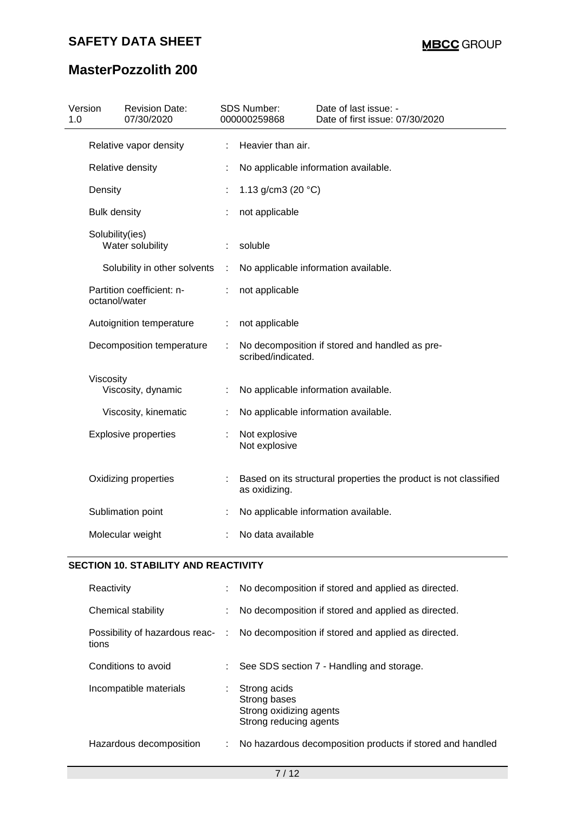# **MasterPozzolith 200**

| 1.0 | Version             | <b>Revision Date:</b><br>07/30/2020 |   | <b>SDS Number:</b><br>000000259868                                                | Date of last issue: -<br>Date of first issue: 07/30/2020 |  |
|-----|---------------------|-------------------------------------|---|-----------------------------------------------------------------------------------|----------------------------------------------------------|--|
|     |                     | Relative vapor density              | ÷ | Heavier than air.                                                                 |                                                          |  |
|     |                     | Relative density                    |   |                                                                                   | No applicable information available.                     |  |
|     | Density             |                                     |   | 1.13 g/cm3 (20 $°C$ )                                                             |                                                          |  |
|     | <b>Bulk density</b> |                                     |   | not applicable                                                                    |                                                          |  |
|     | Solubility(ies)     | Water solubility                    |   | soluble                                                                           |                                                          |  |
|     |                     | Solubility in other solvents        | ÷ |                                                                                   | No applicable information available.                     |  |
|     | octanol/water       | Partition coefficient: n-           |   | not applicable                                                                    |                                                          |  |
|     |                     | Autoignition temperature            | ÷ | not applicable                                                                    |                                                          |  |
|     |                     | Decomposition temperature           | ÷ | No decomposition if stored and handled as pre-<br>scribed/indicated.              |                                                          |  |
|     | Viscosity           |                                     |   |                                                                                   |                                                          |  |
|     |                     | Viscosity, dynamic                  |   |                                                                                   | No applicable information available.                     |  |
|     |                     | Viscosity, kinematic                |   |                                                                                   | No applicable information available.                     |  |
|     |                     | <b>Explosive properties</b>         |   | Not explosive<br>Not explosive                                                    |                                                          |  |
|     |                     | Oxidizing properties                |   | Based on its structural properties the product is not classified<br>as oxidizing. |                                                          |  |
|     |                     | Sublimation point                   |   |                                                                                   | No applicable information available.                     |  |
|     |                     | Molecular weight                    |   | No data available                                                                 |                                                          |  |
|     |                     |                                     |   |                                                                                   |                                                          |  |

### **SECTION 10. STABILITY AND REACTIVITY**

| Reactivity              |    | No decomposition if stored and applied as directed.                                  |
|-------------------------|----|--------------------------------------------------------------------------------------|
| Chemical stability      |    | No decomposition if stored and applied as directed.                                  |
| tions                   |    | Possibility of hazardous reac- : No decomposition if stored and applied as directed. |
| Conditions to avoid     |    | : See SDS section 7 - Handling and storage.                                          |
| Incompatible materials  |    | Strong acids<br>Strong bases<br>Strong oxidizing agents<br>Strong reducing agents    |
| Hazardous decomposition | ÷. | No hazardous decomposition products if stored and handled                            |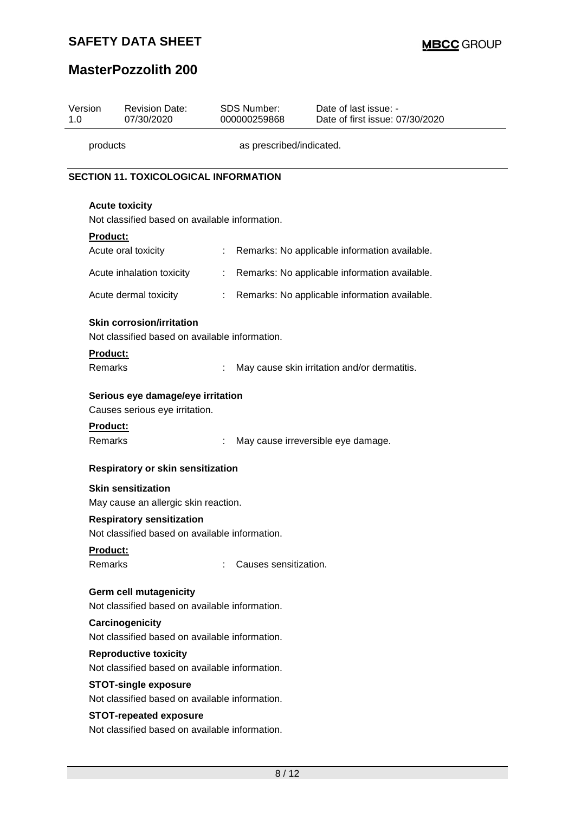# **MasterPozzolith 200**

| Version<br>1.0                       |                            | <b>Revision Date:</b><br>07/30/2020                                                |                       | SDS Number:<br>000000259868 | Date of last issue: -<br>Date of first issue: 07/30/2020 |  |
|--------------------------------------|----------------------------|------------------------------------------------------------------------------------|-----------------------|-----------------------------|----------------------------------------------------------|--|
| as prescribed/indicated.<br>products |                            |                                                                                    |                       |                             |                                                          |  |
|                                      |                            | <b>SECTION 11. TOXICOLOGICAL INFORMATION</b>                                       |                       |                             |                                                          |  |
|                                      |                            | <b>Acute toxicity</b><br>Not classified based on available information.            |                       |                             |                                                          |  |
|                                      | <b>Product:</b>            | Acute oral toxicity                                                                |                       |                             | Remarks: No applicable information available.            |  |
|                                      |                            | Acute inhalation toxicity                                                          | ÷.                    |                             | Remarks: No applicable information available.            |  |
|                                      |                            | Acute dermal toxicity                                                              | $\mathbb{Z}^{\times}$ |                             | Remarks: No applicable information available.            |  |
|                                      |                            | <b>Skin corrosion/irritation</b><br>Not classified based on available information. |                       |                             |                                                          |  |
|                                      | Product:<br>Remarks        |                                                                                    |                       |                             | May cause skin irritation and/or dermatitis.             |  |
|                                      |                            | Serious eye damage/eye irritation<br>Causes serious eye irritation.                |                       |                             |                                                          |  |
|                                      | <b>Product:</b><br>Remarks |                                                                                    |                       |                             | May cause irreversible eye damage.                       |  |
|                                      |                            | Respiratory or skin sensitization                                                  |                       |                             |                                                          |  |
|                                      |                            | <b>Skin sensitization</b><br>May cause an allergic skin reaction.                  |                       |                             |                                                          |  |
|                                      |                            | <b>Respiratory sensitization</b><br>Not classified based on available information. |                       |                             |                                                          |  |
|                                      | Product:<br>Remarks        |                                                                                    | ÷                     | Causes sensitization.       |                                                          |  |
|                                      |                            | <b>Germ cell mutagenicity</b><br>Not classified based on available information.    |                       |                             |                                                          |  |
|                                      |                            | Carcinogenicity<br>Not classified based on available information.                  |                       |                             |                                                          |  |
|                                      |                            | <b>Reproductive toxicity</b><br>Not classified based on available information.     |                       |                             |                                                          |  |
|                                      |                            | <b>STOT-single exposure</b><br>Not classified based on available information.      |                       |                             |                                                          |  |
|                                      |                            | <b>STOT-repeated exposure</b><br>Not classified based on available information.    |                       |                             |                                                          |  |
|                                      |                            |                                                                                    |                       |                             |                                                          |  |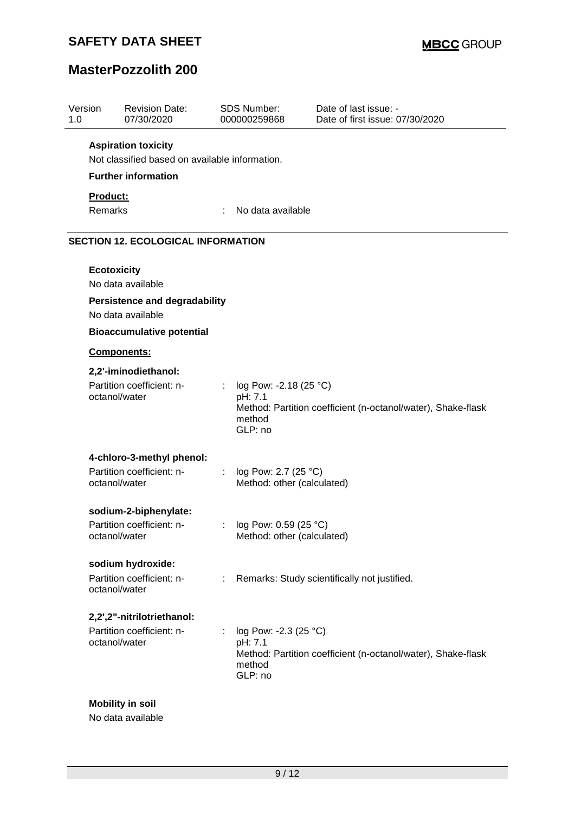# **MasterPozzolith 200**

| Version<br>1.0 | <b>Revision Date:</b><br>07/30/2020            |    | <b>SDS Number:</b><br>000000259868                     | Date of last issue: -<br>Date of first issue: 07/30/2020     |
|----------------|------------------------------------------------|----|--------------------------------------------------------|--------------------------------------------------------------|
|                | <b>Aspiration toxicity</b>                     |    |                                                        |                                                              |
|                | Not classified based on available information. |    |                                                        |                                                              |
|                | <b>Further information</b>                     |    |                                                        |                                                              |
| Product:       |                                                |    |                                                        |                                                              |
| Remarks        |                                                |    | No data available                                      |                                                              |
|                | <b>SECTION 12. ECOLOGICAL INFORMATION</b>      |    |                                                        |                                                              |
|                | <b>Ecotoxicity</b>                             |    |                                                        |                                                              |
|                | No data available                              |    |                                                        |                                                              |
|                | <b>Persistence and degradability</b>           |    |                                                        |                                                              |
|                | No data available                              |    |                                                        |                                                              |
|                | <b>Bioaccumulative potential</b>               |    |                                                        |                                                              |
|                | Components:                                    |    |                                                        |                                                              |
|                | 2,2'-iminodiethanol:                           |    |                                                        |                                                              |
|                | Partition coefficient: n-<br>octanol/water     |    | log Pow: -2.18 (25 °C)<br>pH: 7.1<br>method<br>GLP: no | Method: Partition coefficient (n-octanol/water), Shake-flask |
|                | 4-chloro-3-methyl phenol:                      |    |                                                        |                                                              |
|                | Partition coefficient: n-<br>octanol/water     | ÷. | log Pow: 2.7 (25 °C)<br>Method: other (calculated)     |                                                              |
|                | sodium-2-biphenylate:                          |    |                                                        |                                                              |
|                | Partition coefficient: n-<br>octanol/water     |    | log Pow: 0.59 (25 °C)<br>Method: other (calculated)    |                                                              |
|                | sodium hydroxide:                              |    |                                                        |                                                              |
|                | Partition coefficient: n-<br>octanol/water     |    |                                                        | Remarks: Study scientifically not justified.                 |
|                | 2,2',2"-nitrilotriethanol:                     |    |                                                        |                                                              |
|                | Partition coefficient: n-<br>octanol/water     |    | log Pow: -2.3 (25 °C)<br>pH: 7.1<br>method<br>GLP: no  | Method: Partition coefficient (n-octanol/water), Shake-flask |

No data available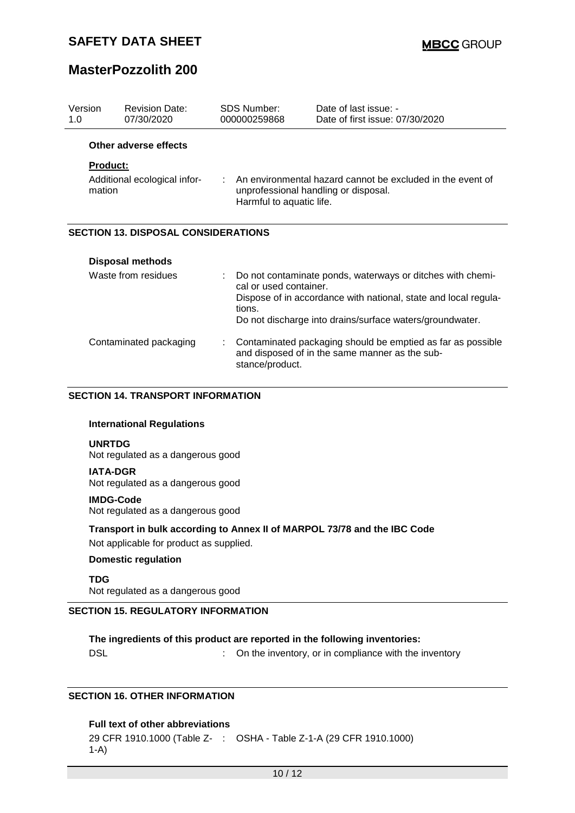### **MasterPozzolith 200**

| Version<br>1.0  | <b>Revision Date:</b><br>07/30/2020        | <b>SDS Number:</b><br>000000259868 |                                                                                                                                | Date of last issue: -<br>Date of first issue: 07/30/2020                                                                                                                                  |  |  |
|-----------------|--------------------------------------------|------------------------------------|--------------------------------------------------------------------------------------------------------------------------------|-------------------------------------------------------------------------------------------------------------------------------------------------------------------------------------------|--|--|
|                 | Other adverse effects                      |                                    |                                                                                                                                |                                                                                                                                                                                           |  |  |
| <b>Product:</b> |                                            |                                    |                                                                                                                                |                                                                                                                                                                                           |  |  |
| mation          | Additional ecological infor-               |                                    | An environmental hazard cannot be excluded in the event of<br>unprofessional handling or disposal.<br>Harmful to aquatic life. |                                                                                                                                                                                           |  |  |
|                 | <b>SECTION 13. DISPOSAL CONSIDERATIONS</b> |                                    |                                                                                                                                |                                                                                                                                                                                           |  |  |
|                 | <b>Disposal methods</b>                    |                                    |                                                                                                                                |                                                                                                                                                                                           |  |  |
|                 | Waste from residues                        |                                    | cal or used container.<br>tions.                                                                                               | Do not contaminate ponds, waterways or ditches with chemi-<br>Dispose of in accordance with national, state and local regula-<br>Do not discharge into drains/surface waters/groundwater. |  |  |
|                 | Contaminated packaging                     |                                    |                                                                                                                                | Contaminated packaging should be emptied as far as possible<br>and disposed of in the same manner as the sub-                                                                             |  |  |

#### **SECTION 14. TRANSPORT INFORMATION**

#### **International Regulations**

#### **UNRTDG**

Not regulated as a dangerous good

#### **IATA-DGR**

Not regulated as a dangerous good

### **IMDG-Code**

Not regulated as a dangerous good

#### **Transport in bulk according to Annex II of MARPOL 73/78 and the IBC Code**

stance/product.

Not applicable for product as supplied.

#### **Domestic regulation**

**TDG**

Not regulated as a dangerous good

### **SECTION 15. REGULATORY INFORMATION**

**The ingredients of this product are reported in the following inventories:** DSL **DISL** 2013 : On the inventory, or in compliance with the inventory

#### **SECTION 16. OTHER INFORMATION**

#### **Full text of other abbreviations**

29 CFR 1910.1000 (Table Z-: OSHA - Table Z-1-A (29 CFR 1910.1000)1-A)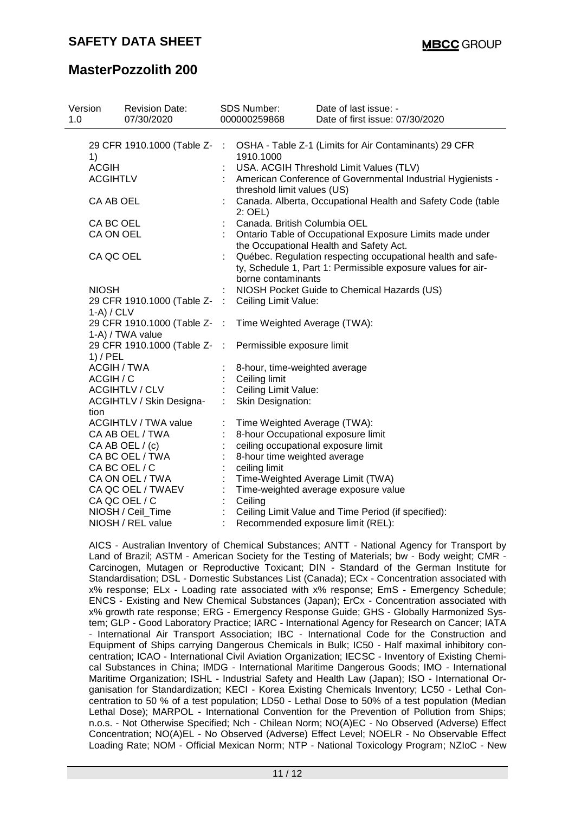### **MasterPozzolith 200**

| Version<br>1.0  | <b>Revision Date:</b><br>07/30/2020               |                              | <b>SDS Number:</b><br>000000259868                                                                                                                | Date of last issue: -<br>Date of first issue: 07/30/2020                                            |  |  |  |
|-----------------|---------------------------------------------------|------------------------------|---------------------------------------------------------------------------------------------------------------------------------------------------|-----------------------------------------------------------------------------------------------------|--|--|--|
|                 |                                                   |                              |                                                                                                                                                   |                                                                                                     |  |  |  |
| 1)              | 29 CFR 1910.1000 (Table Z- :                      |                              | 1910.1000                                                                                                                                         | OSHA - Table Z-1 (Limits for Air Contaminants) 29 CFR                                               |  |  |  |
| <b>ACGIH</b>    |                                                   |                              |                                                                                                                                                   | USA. ACGIH Threshold Limit Values (TLV)                                                             |  |  |  |
| <b>ACGIHTLV</b> |                                                   |                              | threshold limit values (US)                                                                                                                       | American Conference of Governmental Industrial Hygienists -                                         |  |  |  |
| CA AB OEL       |                                                   |                              | 2: OEL)                                                                                                                                           | Canada. Alberta, Occupational Health and Safety Code (table                                         |  |  |  |
| CA BC OEL       |                                                   |                              | Canada. British Columbia OEL                                                                                                                      |                                                                                                     |  |  |  |
| CA ON OEL       |                                                   |                              |                                                                                                                                                   | Ontario Table of Occupational Exposure Limits made under<br>the Occupational Health and Safety Act. |  |  |  |
| CA QC OEL       |                                                   |                              | Québec. Regulation respecting occupational health and safe-<br>ty, Schedule 1, Part 1: Permissible exposure values for air-<br>borne contaminants |                                                                                                     |  |  |  |
| <b>NIOSH</b>    |                                                   |                              |                                                                                                                                                   | NIOSH Pocket Guide to Chemical Hazards (US)                                                         |  |  |  |
| $1-A) / CLV$    | 29 CFR 1910.1000 (Table Z- : Ceiling Limit Value: |                              |                                                                                                                                                   |                                                                                                     |  |  |  |
|                 | 29 CFR 1910.1000 (Table Z-<br>1-A) / TWA value    | - 11                         | Time Weighted Average (TWA):                                                                                                                      |                                                                                                     |  |  |  |
| $1)$ / PEL      | 29 CFR 1910.1000 (Table Z- :                      |                              | Permissible exposure limit                                                                                                                        |                                                                                                     |  |  |  |
|                 | <b>ACGIH / TWA</b>                                |                              | 8-hour, time-weighted average                                                                                                                     |                                                                                                     |  |  |  |
|                 | ACGIH / C                                         |                              | Ceiling limit                                                                                                                                     |                                                                                                     |  |  |  |
|                 | <b>ACGIHTLV / CLV</b>                             |                              | Ceiling Limit Value:                                                                                                                              |                                                                                                     |  |  |  |
| tion            | <b>ACGIHTLV / Skin Designa-</b>                   | ÷                            | Skin Designation:                                                                                                                                 |                                                                                                     |  |  |  |
|                 | <b>ACGIHTLV / TWA value</b>                       |                              | Time Weighted Average (TWA):                                                                                                                      |                                                                                                     |  |  |  |
|                 | CA AB OEL / TWA                                   |                              | 8-hour Occupational exposure limit                                                                                                                |                                                                                                     |  |  |  |
|                 | CA AB OEL / (c)                                   |                              | ceiling occupational exposure limit                                                                                                               |                                                                                                     |  |  |  |
|                 | CA BC OEL / TWA                                   | 8-hour time weighted average |                                                                                                                                                   |                                                                                                     |  |  |  |
|                 | CA BC OEL / C                                     |                              | ceiling limit                                                                                                                                     |                                                                                                     |  |  |  |
|                 | CA ON OEL / TWA                                   |                              |                                                                                                                                                   | Time-Weighted Average Limit (TWA)                                                                   |  |  |  |
|                 | CA QC OEL / TWAEV                                 |                              |                                                                                                                                                   | Time-weighted average exposure value                                                                |  |  |  |
|                 | CA QC OEL / C                                     |                              | Ceiling                                                                                                                                           |                                                                                                     |  |  |  |
|                 | NIOSH / Ceil_Time                                 |                              |                                                                                                                                                   | Ceiling Limit Value and Time Period (if specified):                                                 |  |  |  |
|                 | NIOSH / REL value                                 |                              |                                                                                                                                                   | Recommended exposure limit (REL):                                                                   |  |  |  |

AICS - Australian Inventory of Chemical Substances; ANTT - National Agency for Transport by Land of Brazil; ASTM - American Society for the Testing of Materials; bw - Body weight; CMR - Carcinogen, Mutagen or Reproductive Toxicant; DIN - Standard of the German Institute for Standardisation; DSL - Domestic Substances List (Canada); ECx - Concentration associated with x% response; ELx - Loading rate associated with x% response; EmS - Emergency Schedule; ENCS - Existing and New Chemical Substances (Japan); ErCx - Concentration associated with x% growth rate response; ERG - Emergency Response Guide; GHS - Globally Harmonized System; GLP - Good Laboratory Practice; IARC - International Agency for Research on Cancer; IATA - International Air Transport Association; IBC - International Code for the Construction and Equipment of Ships carrying Dangerous Chemicals in Bulk; IC50 - Half maximal inhibitory concentration; ICAO - International Civil Aviation Organization; IECSC - Inventory of Existing Chemical Substances in China; IMDG - International Maritime Dangerous Goods; IMO - International Maritime Organization; ISHL - Industrial Safety and Health Law (Japan); ISO - International Organisation for Standardization; KECI - Korea Existing Chemicals Inventory; LC50 - Lethal Concentration to 50 % of a test population; LD50 - Lethal Dose to 50% of a test population (Median Lethal Dose); MARPOL - International Convention for the Prevention of Pollution from Ships; n.o.s. - Not Otherwise Specified; Nch - Chilean Norm; NO(A)EC - No Observed (Adverse) Effect Concentration; NO(A)EL - No Observed (Adverse) Effect Level; NOELR - No Observable Effect Loading Rate; NOM - Official Mexican Norm; NTP - National Toxicology Program; NZIoC - New